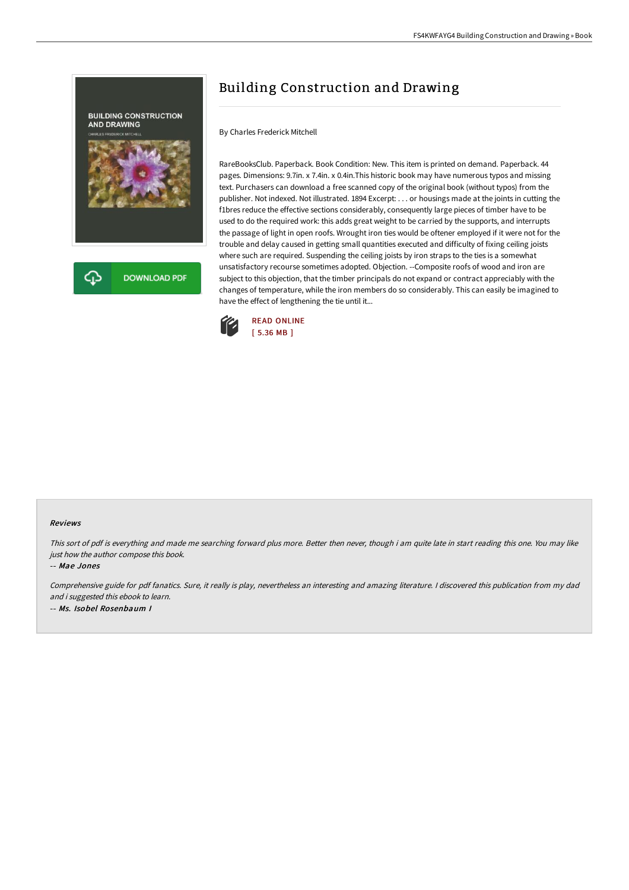

# Building Construction and Drawing

By Charles Frederick Mitchell

RareBooksClub. Paperback. Book Condition: New. This item is printed on demand. Paperback. 44 pages. Dimensions: 9.7in. x 7.4in. x 0.4in.This historic book may have numerous typos and missing text. Purchasers can download a free scanned copy of the original book (without typos) from the publisher. Not indexed. Not illustrated. 1894 Excerpt: . . . or housings made at the joints in cutting the f1bres reduce the effective sections considerably, consequently large pieces of timber have to be used to do the required work: this adds great weight to be carried by the supports, and interrupts the passage of light in open roofs. Wrought iron ties would be oftener employed if it were not for the trouble and delay caused in getting small quantities executed and difficulty of fixing ceiling joists where such are required. Suspending the ceiling joists by iron straps to the ties is a somewhat unsatisfactory recourse sometimes adopted. Objection. --Composite roofs of wood and iron are subject to this objection, that the timber principals do not expand or contract appreciably with the changes of temperature, while the iron members do so considerably. This can easily be imagined to have the effect of lengthening the tie until it...



#### Reviews

This sort of pdf is everything and made me searching forward plus more. Better then never, though i am quite late in start reading this one. You may like just how the author compose this book.

#### -- Mae Jones

Comprehensive guide for pdf fanatics. Sure, it really is play, nevertheless an interesting and amazing literature. <sup>I</sup> discovered this publication from my dad and i suggested this ebook to learn. -- Ms. Isobel Rosenbaum I